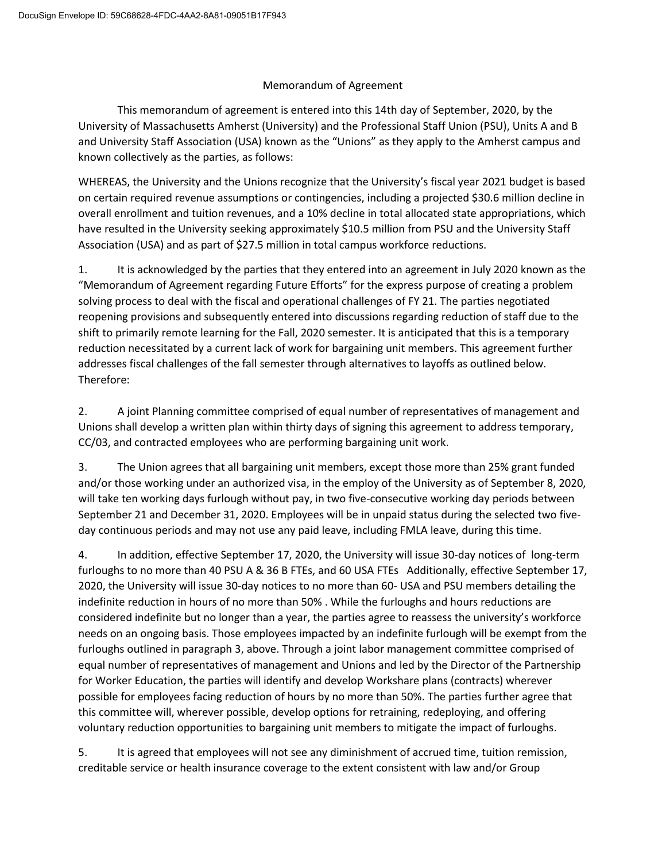## Memorandum of Agreement

This memorandum of agreement is entered into this 14th day of September, 2020, by the University of Massachusetts Amherst (University) and the Professional Staff Union (PSU), Units A and B and University Staff Association (USA) known as the "Unions" as they apply to the Amherst campus and known collectively as the parties, as follows:

WHEREAS, the University and the Unions recognize that the University's fiscal year 2021 budget is based on certain required revenue assumptions or contingencies, including a projected \$30.6 million decline in overall enrollment and tuition revenues, and a 10% decline in total allocated state appropriations, which have resulted in the University seeking approximately \$10.5 million from PSU and the University Staff Association (USA) and as part of \$27.5 million in total campus workforce reductions.

1. It is acknowledged by the parties that they entered into an agreement in July 2020 known as the "Memorandum of Agreement regarding Future Efforts" for the express purpose of creating a problem solving process to deal with the fiscal and operational challenges of FY 21. The parties negotiated reopening provisions and subsequently entered into discussions regarding reduction of staff due to the shift to primarily remote learning for the Fall, 2020 semester. It is anticipated that this is a temporary reduction necessitated by a current lack of work for bargaining unit members. This agreement further addresses fiscal challenges of the fall semester through alternatives to layoffs as outlined below. Therefore:

2. A joint Planning committee comprised of equal number of representatives of management and Unions shall develop a written plan within thirty days of signing this agreement to address temporary, CC/03, and contracted employees who are performing bargaining unit work.

3. The Union agrees that all bargaining unit members, except those more than 25% grant funded and/or those working under an authorized visa, in the employ of the University as of September 8, 2020, will take ten working days furlough without pay, in two five-consecutive working day periods between September 21 and December 31, 2020. Employees will be in unpaid status during the selected two fiveday continuous periods and may not use any paid leave, including FMLA leave, during this time.

4. In addition, effective September 17, 2020, the University will issue 30-day notices of long-term furloughs to no more than 40 PSU A & 36 B FTEs, and 60 USA FTEs Additionally, effective September 17, 2020, the University will issue 30-day notices to no more than 60- USA and PSU members detailing the indefinite reduction in hours of no more than 50% . While the furloughs and hours reductions are considered indefinite but no longer than a year, the parties agree to reassess the university's workforce needs on an ongoing basis. Those employees impacted by an indefinite furlough will be exempt from the furloughs outlined in paragraph 3, above. Through a joint labor management committee comprised of equal number of representatives of management and Unions and led by the Director of the Partnership for Worker Education, the parties will identify and develop Workshare plans (contracts) wherever possible for employees facing reduction of hours by no more than 50%. The parties further agree that this committee will, wherever possible, develop options for retraining, redeploying, and offering voluntary reduction opportunities to bargaining unit members to mitigate the impact of furloughs.

5. It is agreed that employees will not see any diminishment of accrued time, tuition remission, creditable service or health insurance coverage to the extent consistent with law and/or Group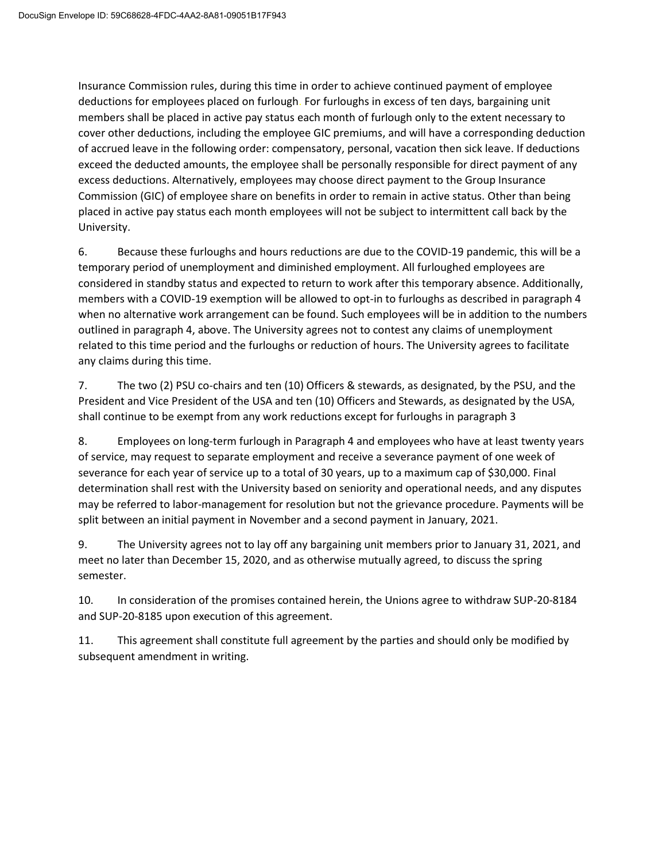Insurance Commission rules, during this time in order to achieve continued payment of employee deductions for employees placed on furlough. For furloughs in excess of ten days, bargaining unit members shall be placed in active pay status each month of furlough only to the extent necessary to cover other deductions, including the employee GIC premiums, and will have a corresponding deduction of accrued leave in the following order: compensatory, personal, vacation then sick leave. If deductions exceed the deducted amounts, the employee shall be personally responsible for direct payment of any excess deductions. Alternatively, employees may choose direct payment to the Group Insurance Commission (GIC) of employee share on benefits in order to remain in active status. Other than being placed in active pay status each month employees will not be subject to intermittent call back by the University.

6. Because these furloughs and hours reductions are due to the COVID-19 pandemic, this will be a temporary period of unemployment and diminished employment. All furloughed employees are considered in standby status and expected to return to work after this temporary absence. Additionally, members with a COVID-19 exemption will be allowed to opt-in to furloughs as described in paragraph 4 when no alternative work arrangement can be found. Such employees will be in addition to the numbers outlined in paragraph 4, above. The University agrees not to contest any claims of unemployment related to this time period and the furloughs or reduction of hours. The University agrees to facilitate any claims during this time.

7. The two (2) PSU co-chairs and ten (10) Officers & stewards, as designated, by the PSU, and the President and Vice President of the USA and ten (10) Officers and Stewards, as designated by the USA, shall continue to be exempt from any work reductions except for furloughs in paragraph 3

8. Employees on long-term furlough in Paragraph 4 and employees who have at least twenty years of service, may request to separate employment and receive a severance payment of one week of severance for each year of service up to a total of 30 years, up to a maximum cap of \$30,000. Final determination shall rest with the University based on seniority and operational needs, and any disputes may be referred to labor-management for resolution but not the grievance procedure. Payments will be split between an initial payment in November and a second payment in January, 2021.

9. The University agrees not to lay off any bargaining unit members prior to January 31, 2021, and meet no later than December 15, 2020, and as otherwise mutually agreed, to discuss the spring semester.

10. In consideration of the promises contained herein, the Unions agree to withdraw SUP-20-8184 and SUP-20-8185 upon execution of this agreement.

11. This agreement shall constitute full agreement by the parties and should only be modified by subsequent amendment in writing.